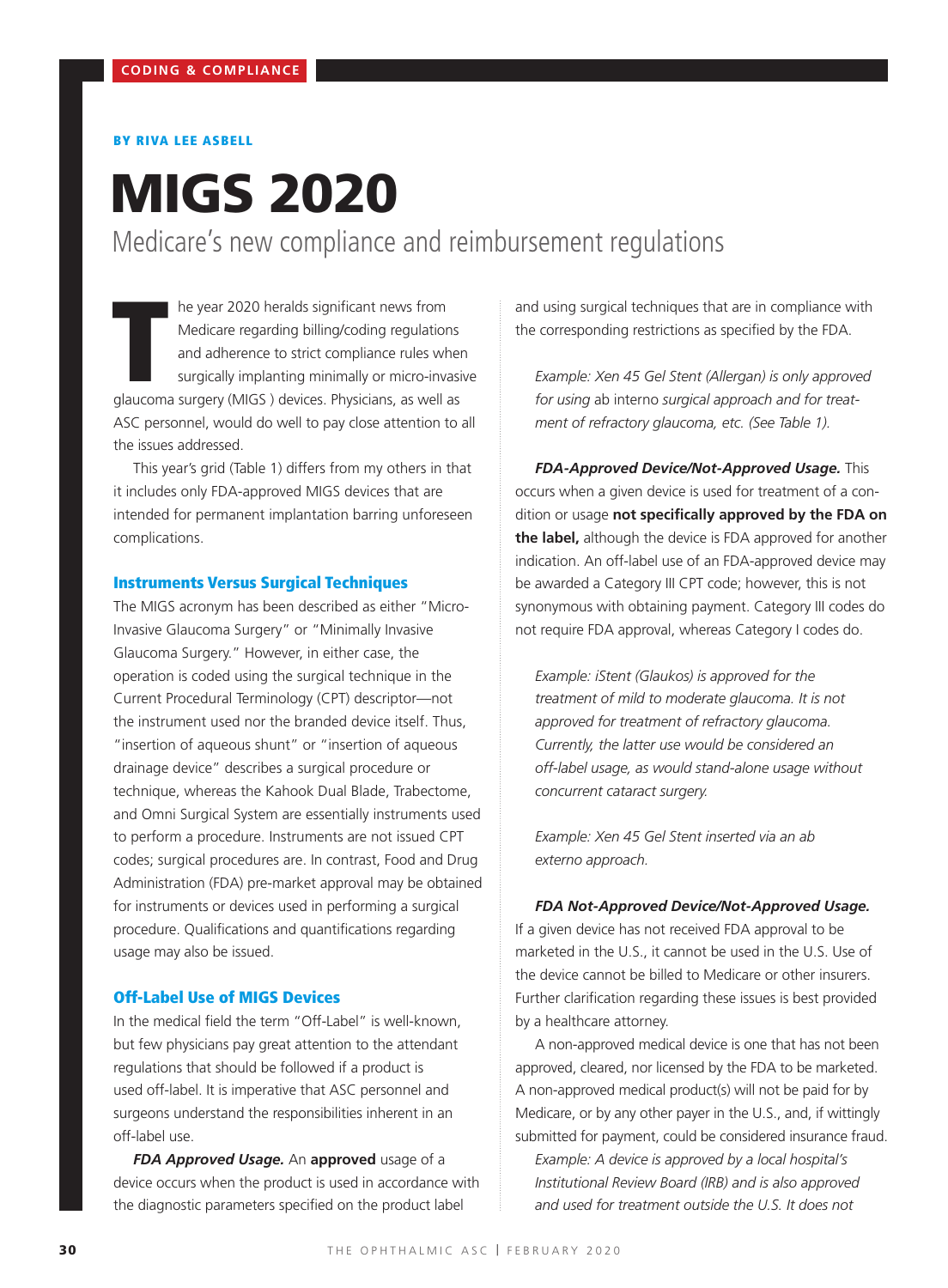# BY RIVA LEE ASBELL

# MIGS 2020 Medicare's new compliance and reimbursement regulations

The year 2020 heralds significant news from<br>Medicare regarding billing/coding regulations<br>and adherence to strict compliance rules wher<br>surgically implanting minimally or micro-invasir<br>glaucoma surgery (MIGS ) devices. Phy he year 2020 heralds significant news from Medicare regarding billing/coding regulations and adherence to strict compliance rules when surgically implanting minimally or micro-invasive ASC personnel, would do well to pay close attention to all the issues addressed.

This year's grid (Table 1) differs from my others in that it includes only FDA-approved MIGS devices that are intended for permanent implantation barring unforeseen complications.

## Instruments Versus Surgical Techniques

The MIGS acronym has been described as either "Micro-Invasive Glaucoma Surgery" or "Minimally Invasive Glaucoma Surgery." However, in either case, the operation is coded using the surgical technique in the Current Procedural Terminology (CPT) descriptor—not the instrument used nor the branded device itself. Thus, "insertion of aqueous shunt" or "insertion of aqueous drainage device" describes a surgical procedure or technique, whereas the Kahook Dual Blade, Trabectome, and Omni Surgical System are essentially instruments used to perform a procedure. Instruments are not issued CPT codes; surgical procedures are. In contrast, Food and Drug Administration (FDA) pre-market approval may be obtained for instruments or devices used in performing a surgical procedure. Qualifications and quantifications regarding usage may also be issued.

#### Off-Label Use of MIGS Devices

In the medical field the term "Off-Label" is well-known, but few physicians pay great attention to the attendant regulations that should be followed if a product is used off-label. It is imperative that ASC personnel and surgeons understand the responsibilities inherent in an off-label use.

*FDA Approved Usage.* An **approved** usage of a device occurs when the product is used in accordance with the diagnostic parameters specified on the product label

and using surgical techniques that are in compliance with the corresponding restrictions as specified by the FDA.

*Example: Xen 45 Gel Stent (Allergan) is only approved for using* ab interno *surgical approach and for treatment of refractory glaucoma, etc. (See Table 1).*

*FDA-Approved Device/Not-Approved Usage.* This occurs when a given device is used for treatment of a condition or usage **not specifically approved by the FDA on the label,** although the device is FDA approved for another indication. An off-label use of an FDA-approved device may be awarded a Category III CPT code; however, this is not synonymous with obtaining payment. Category III codes do not require FDA approval, whereas Category I codes do.

*Example: iStent (Glaukos) is approved for the treatment of mild to moderate glaucoma. It is not approved for treatment of refractory glaucoma. Currently, the latter use would be considered an off-label usage, as would stand-alone usage without concurrent cataract surgery.*

*Example: Xen 45 Gel Stent inserted via an ab externo approach.*

#### *FDA Not-Approved Device/Not-Approved Usage.*

If a given device has not received FDA approval to be marketed in the U.S., it cannot be used in the U.S. Use of the device cannot be billed to Medicare or other insurers. Further clarification regarding these issues is best provided by a healthcare attorney.

A non-approved medical device is one that has not been approved, cleared, nor licensed by the FDA to be marketed. A non-approved medical product(s) will not be paid for by Medicare, or by any other payer in the U.S., and, if wittingly submitted for payment, could be considered insurance fraud.

*Example: A device is approved by a local hospital's Institutional Review Board (IRB) and is also approved and used for treatment outside the U.S. It does not*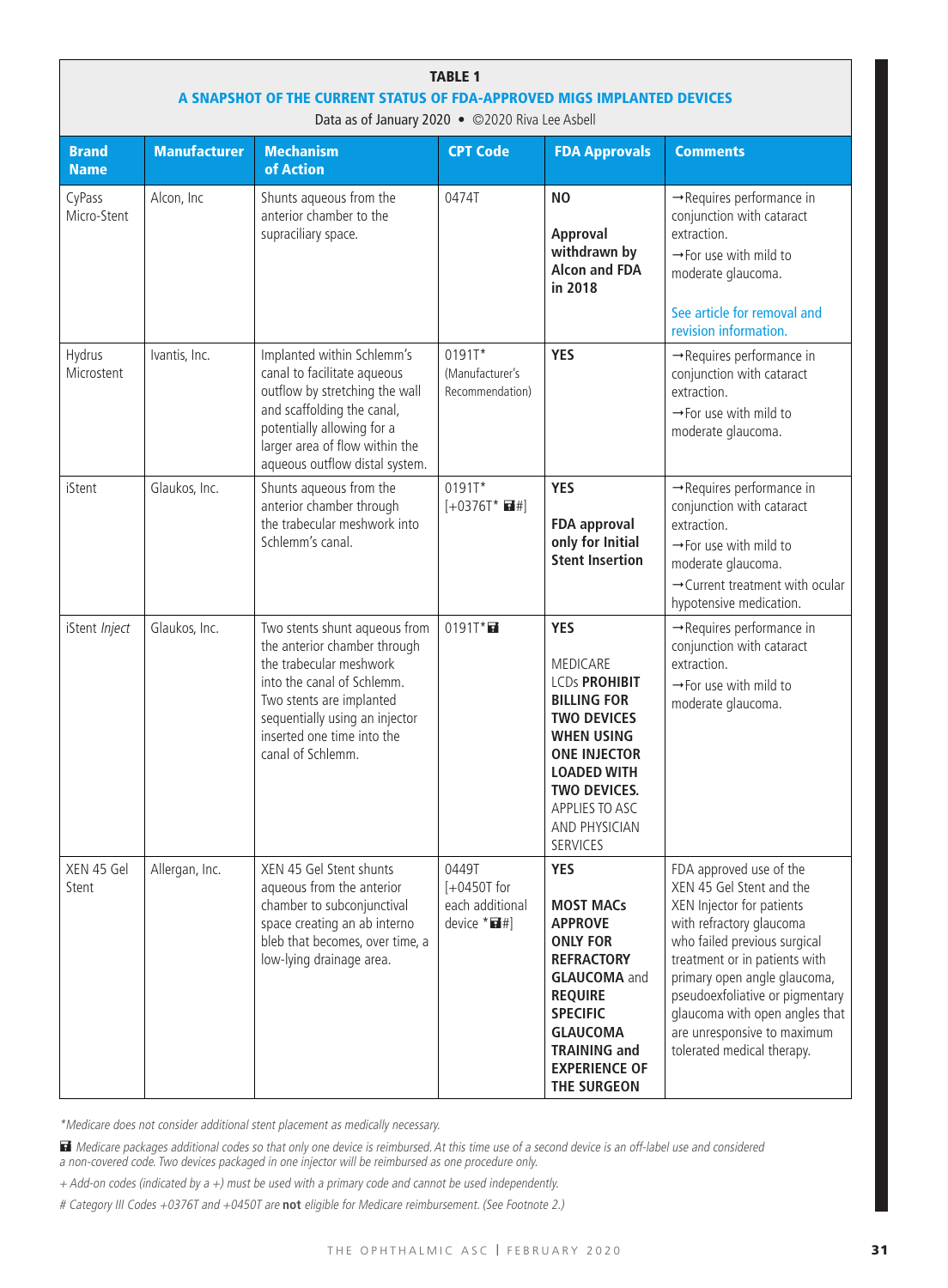| <b>TABLE 1</b><br>A SNAPSHOT OF THE CURRENT STATUS OF FDA-APPROVED MIGS IMPLANTED DEVICES<br>Data as of January 2020 . ©2020 Riva Lee Asbell |                     |                                                                                                                                                                                                                                         |                                                             |                                                                                                                                                                                                                                                  |                                                                                                                                                                                                                                                                                                                                                 |  |  |
|----------------------------------------------------------------------------------------------------------------------------------------------|---------------------|-----------------------------------------------------------------------------------------------------------------------------------------------------------------------------------------------------------------------------------------|-------------------------------------------------------------|--------------------------------------------------------------------------------------------------------------------------------------------------------------------------------------------------------------------------------------------------|-------------------------------------------------------------------------------------------------------------------------------------------------------------------------------------------------------------------------------------------------------------------------------------------------------------------------------------------------|--|--|
| <b>Brand</b><br><b>Name</b>                                                                                                                  | <b>Manufacturer</b> | <b>Mechanism</b><br>of Action                                                                                                                                                                                                           | <b>CPT Code</b>                                             | <b>FDA Approvals</b>                                                                                                                                                                                                                             | <b>Comments</b>                                                                                                                                                                                                                                                                                                                                 |  |  |
| CyPass<br>Micro-Stent                                                                                                                        | Alcon, Inc          | Shunts aqueous from the<br>anterior chamber to the<br>supraciliary space.                                                                                                                                                               | 0474T                                                       | N <sub>0</sub><br>Approval<br>withdrawn by<br><b>Alcon and FDA</b><br>in 2018                                                                                                                                                                    | $\rightarrow$ Requires performance in<br>conjunction with cataract<br>extraction.<br>$\rightarrow$ For use with mild to<br>moderate glaucoma.<br>See article for removal and<br>revision information.                                                                                                                                           |  |  |
| Hydrus<br>Microstent                                                                                                                         | Ivantis, Inc.       | Implanted within Schlemm's<br>canal to facilitate aqueous<br>outflow by stretching the wall<br>and scaffolding the canal,<br>potentially allowing for a<br>larger area of flow within the<br>aqueous outflow distal system.             | 0191T*<br>(Manufacturer's<br>Recommendation)                | <b>YES</b>                                                                                                                                                                                                                                       | $\rightarrow$ Requires performance in<br>conjunction with cataract<br>extraction.<br>$\rightarrow$ For use with mild to<br>moderate glaucoma.                                                                                                                                                                                                   |  |  |
| iStent                                                                                                                                       | Glaukos, Inc.       | Shunts aqueous from the<br>anterior chamber through<br>the trabecular meshwork into<br>Schlemm's canal.                                                                                                                                 | 0191T*<br>$[+0376T^*$ $\blacksquare$ #]                     | <b>YES</b><br><b>FDA approval</b><br>only for Initial<br><b>Stent Insertion</b>                                                                                                                                                                  | $\rightarrow$ Requires performance in<br>conjunction with cataract<br>extraction.<br>$\rightarrow$ For use with mild to<br>moderate glaucoma.<br>$\rightarrow$ Current treatment with ocular<br>hypotensive medication.                                                                                                                         |  |  |
| iStent Inject                                                                                                                                | Glaukos, Inc.       | Two stents shunt aqueous from<br>the anterior chamber through<br>the trabecular meshwork<br>into the canal of Schlemm.<br>Two stents are implanted<br>sequentially using an injector<br>inserted one time into the<br>canal of Schlemm. | $0191T^*$                                                   | <b>YES</b><br><b>MEDICARE</b><br><b>LCDs PROHIBIT</b><br><b>BILLING FOR</b><br><b>TWO DEVICES</b><br><b>WHEN USING</b><br><b>ONE INJECTOR</b><br><b>LOADED WITH</b><br><b>TWO DEVICES.</b><br>APPLIES TO ASC<br>AND PHYSICIAN<br><b>SERVICES</b> | $\rightarrow$ Requires performance in<br>conjunction with cataract<br>extraction.<br>$\rightarrow$ For use with mild to<br>moderate glaucoma.                                                                                                                                                                                                   |  |  |
| XEN 45 Gel<br>Stent                                                                                                                          | Allergan, Inc.      | XEN 45 Gel Stent shunts<br>aqueous from the anterior<br>chamber to subconjunctival<br>space creating an ab interno<br>bleb that becomes, over time, a<br>low-lying drainage area.                                                       | 0449T<br>$[-0450T for$<br>each additional<br>device $*H$ #] | <b>YES</b><br><b>MOST MACs</b><br><b>APPROVE</b><br><b>ONLY FOR</b><br><b>REFRACTORY</b><br><b>GLAUCOMA</b> and<br><b>REQUIRE</b><br><b>SPECIFIC</b><br><b>GLAUCOMA</b><br><b>TRAINING and</b><br><b>EXPERIENCE OF</b><br>THE SURGEON            | FDA approved use of the<br>XEN 45 Gel Stent and the<br>XEN Injector for patients<br>with refractory glaucoma<br>who failed previous surgical<br>treatment or in patients with<br>primary open angle glaucoma,<br>pseudoexfoliative or pigmentary<br>glaucoma with open angles that<br>are unresponsive to maximum<br>tolerated medical therapy. |  |  |

\*Medicare does not consider additional stent placement as medically necessary.

 Medicare packages additional codes so that only one device is reimbursed. At this time use of a second device is an off-label use and considered a non-covered code. Two devices packaged in one injector will be reimbursed as one procedure only.

+ Add-on codes (indicated by a +) must be used with a primary code and cannot be used independently.

# Category III Codes +0376T and +0450T are **not** eligible for Medicare reimbursement. (See Footnote 2.)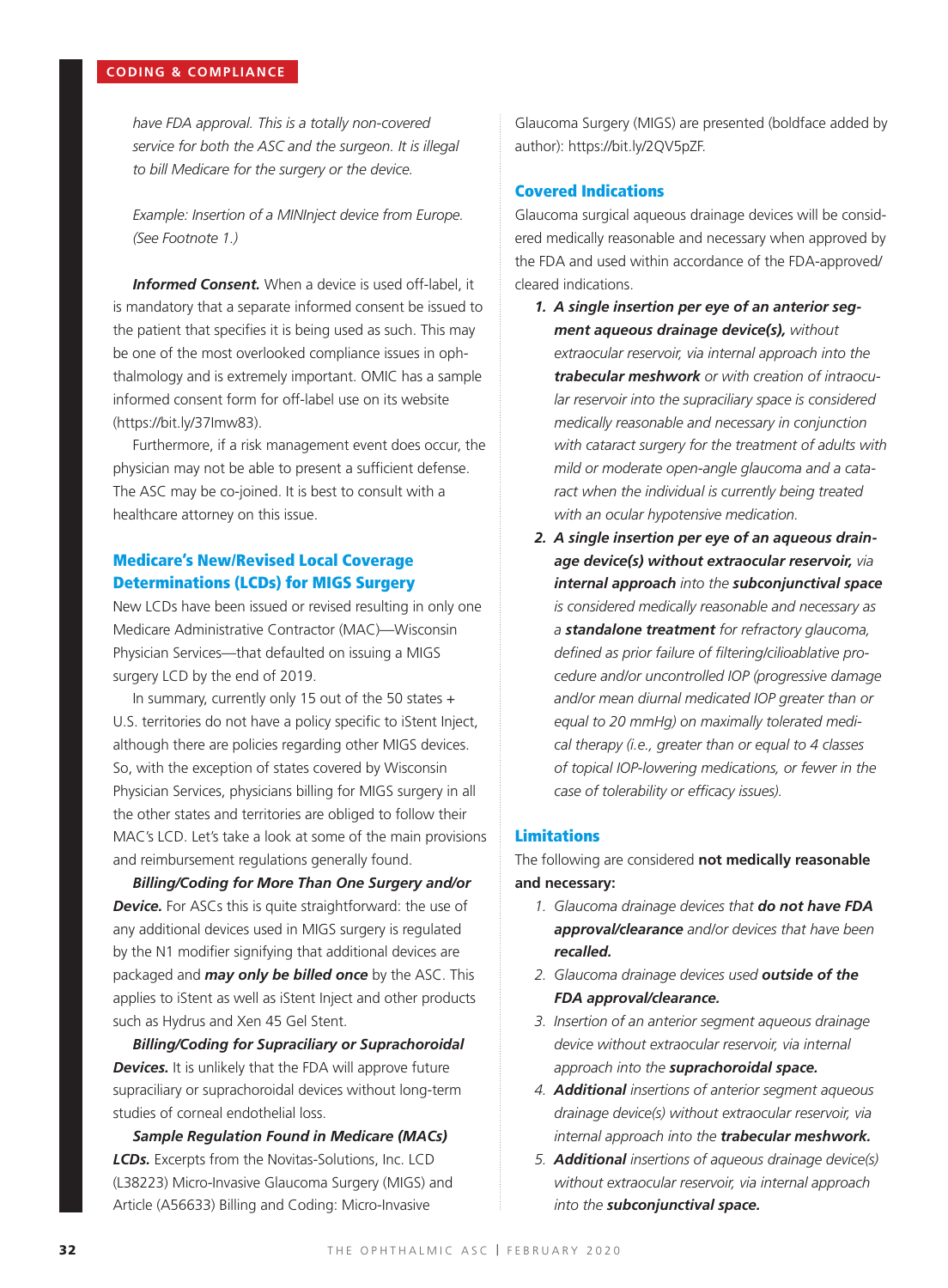*have FDA approval. This is a totally non-covered service for both the ASC and the surgeon. It is illegal to bill Medicare for the surgery or the device.* 

*Example: Insertion of a MINInject device from Europe. (See Footnote 1.)*

*Informed Consent.* When a device is used off-label, it is mandatory that a separate informed consent be issued to the patient that specifies it is being used as such. This may be one of the most overlooked compliance issues in ophthalmology and is extremely important. OMIC has a sample informed consent form for off-label use on its website (https://bit.ly/37Imw83).

Furthermore, if a risk management event does occur, the physician may not be able to present a sufficient defense. The ASC may be co-joined. It is best to consult with a healthcare attorney on this issue.

# Medicare's New/Revised Local Coverage Determinations (LCDs) for MIGS Surgery

New LCDs have been issued or revised resulting in only one Medicare Administrative Contractor (MAC)—Wisconsin Physician Services—that defaulted on issuing a MIGS surgery LCD by the end of 2019.

In summary, currently only 15 out of the 50 states + U.S. territories do not have a policy specific to iStent Inject, although there are policies regarding other MIGS devices. So, with the exception of states covered by Wisconsin Physician Services, physicians billing for MIGS surgery in all the other states and territories are obliged to follow their MAC's LCD. Let's take a look at some of the main provisions and reimbursement regulations generally found.

*Billing/Coding for More Than One Surgery and/or*  **Device.** For ASCs this is quite straightforward: the use of any additional devices used in MIGS surgery is regulated by the N1 modifier signifying that additional devices are packaged and *may only be billed once* by the ASC. This applies to iStent as well as iStent Inject and other products such as Hydrus and Xen 45 Gel Stent.

*Billing/Coding for Supraciliary or Suprachoroidal*  **Devices.** It is unlikely that the FDA will approve future supraciliary or suprachoroidal devices without long-term studies of corneal endothelial loss.

*Sample Regulation Found in Medicare (MACs) LCDs.* Excerpts from the Novitas-Solutions, Inc. LCD (L38223) Micro-Invasive Glaucoma Surgery (MIGS) and Article (A56633) Billing and Coding: Micro-Invasive

Glaucoma Surgery (MIGS) are presented (boldface added by author): https://bit.ly/2QV5pZF.

## Covered Indications

Glaucoma surgical aqueous drainage devices will be considered medically reasonable and necessary when approved by the FDA and used within accordance of the FDA-approved/ cleared indications.

- *1. A single insertion per eye of an anterior segment aqueous drainage device(s), without extraocular reservoir, via internal approach into the trabecular meshwork or with creation of intraocular reservoir into the supraciliary space is considered medically reasonable and necessary in conjunction with cataract surgery for the treatment of adults with mild or moderate open-angle glaucoma and a cataract when the individual is currently being treated with an ocular hypotensive medication.*
- *2. A single insertion per eye of an aqueous drainage device(s) without extraocular reservoir, via internal approach into the subconjunctival space is considered medically reasonable and necessary as a standalone treatment for refractory glaucoma, defined as prior failure of filtering/cilioablative procedure and/or uncontrolled IOP (progressive damage and/or mean diurnal medicated IOP greater than or equal to 20 mmHg) on maximally tolerated medical therapy (i.e., greater than or equal to 4 classes of topical IOP-lowering medications, or fewer in the case of tolerability or efficacy issues).*

## Limitations

The following are considered **not medically reasonable and necessary:**

- *1. Glaucoma drainage devices that do not have FDA approval/clearance and/or devices that have been recalled.*
- *2. Glaucoma drainage devices used outside of the FDA approval/clearance.*
- *3. Insertion of an anterior segment aqueous drainage device without extraocular reservoir, via internal approach into the suprachoroidal space.*
- *4. Additional insertions of anterior segment aqueous drainage device(s) without extraocular reservoir, via internal approach into the trabecular meshwork.*
- *5. Additional insertions of aqueous drainage device(s) without extraocular reservoir, via internal approach into the subconjunctival space.*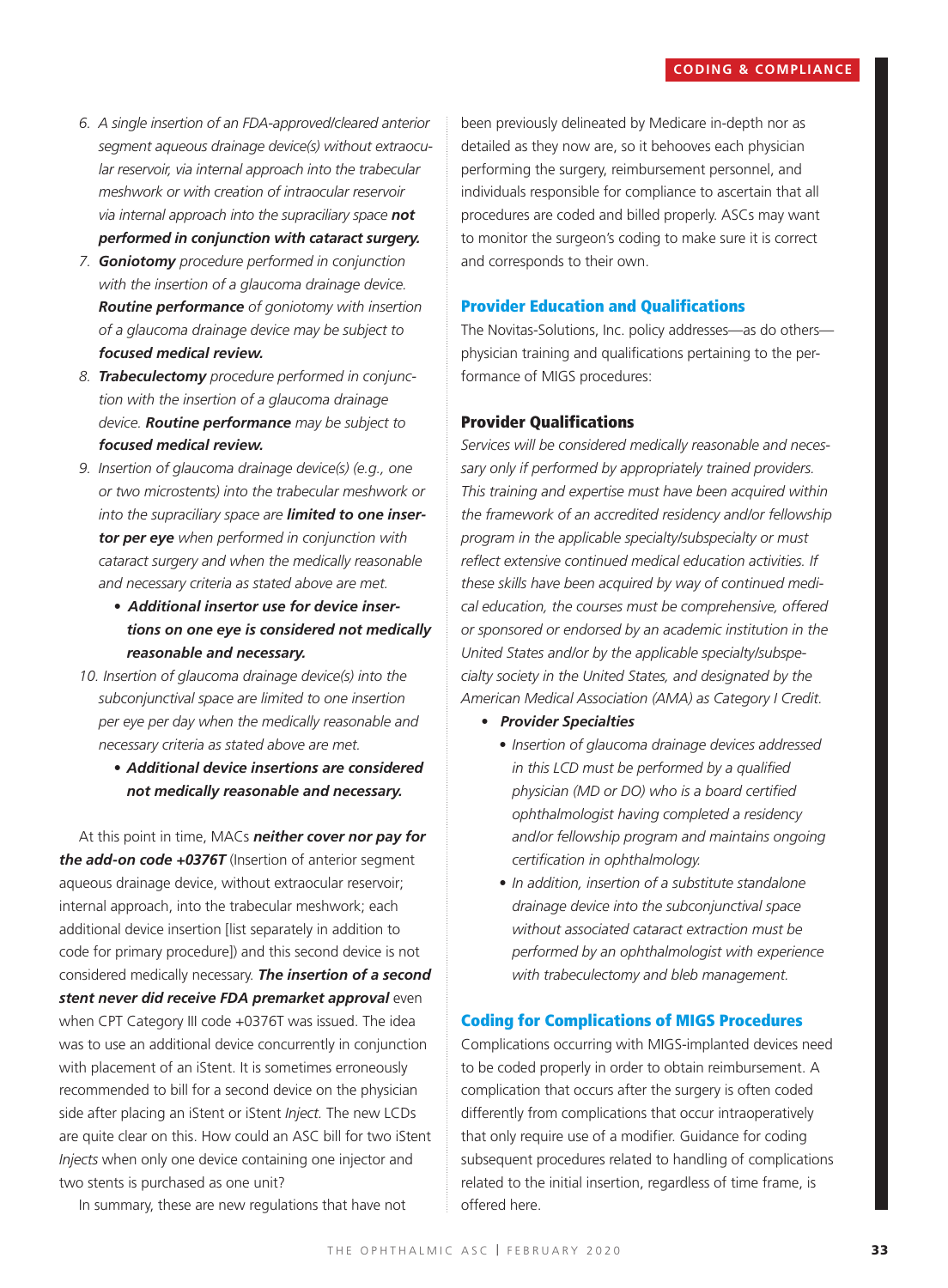- *6. A single insertion of an FDA-approved/cleared anterior segment aqueous drainage device(s) without extraocular reservoir, via internal approach into the trabecular meshwork or with creation of intraocular reservoir via internal approach into the supraciliary space not performed in conjunction with cataract surgery.*
- *7. Goniotomy procedure performed in conjunction with the insertion of a glaucoma drainage device. Routine performance of goniotomy with insertion of a glaucoma drainage device may be subject to focused medical review.*
- *8. Trabeculectomy procedure performed in conjunction with the insertion of a glaucoma drainage device. Routine performance may be subject to focused medical review.*
- *9. Insertion of glaucoma drainage device(s) (e.g., one or two microstents) into the trabecular meshwork or into the supraciliary space are limited to one insertor per eye when performed in conjunction with cataract surgery and when the medically reasonable and necessary criteria as stated above are met.* 
	- *• Additional insertor use for device insertions on one eye is considered not medically reasonable and necessary.*
- *10. Insertion of glaucoma drainage device(s) into the subconjunctival space are limited to one insertion per eye per day when the medically reasonable and necessary criteria as stated above are met.* 
	- *• Additional device insertions are considered not medically reasonable and necessary.*

At this point in time, MACs *neither cover nor pay for the add-on code +0376T* (Insertion of anterior segment aqueous drainage device, without extraocular reservoir; internal approach, into the trabecular meshwork; each additional device insertion [list separately in addition to code for primary procedure]) and this second device is not considered medically necessary. *The insertion of a second stent never did receive FDA premarket approval* even when CPT Category III code +0376T was issued. The idea was to use an additional device concurrently in conjunction with placement of an iStent. It is sometimes erroneously recommended to bill for a second device on the physician side after placing an iStent or iStent *Inject.* The new LCDs are quite clear on this. How could an ASC bill for two iStent *Injects* when only one device containing one injector and two stents is purchased as one unit?

been previously delineated by Medicare in-depth nor as detailed as they now are, so it behooves each physician performing the surgery, reimbursement personnel, and individuals responsible for compliance to ascertain that all procedures are coded and billed properly. ASCs may want to monitor the surgeon's coding to make sure it is correct and corresponds to their own.

## Provider Education and Qualifications

The Novitas-Solutions, Inc. policy addresses—as do others physician training and qualifications pertaining to the performance of MIGS procedures:

#### Provider Qualifications

*Services will be considered medically reasonable and necessary only if performed by appropriately trained providers. This training and expertise must have been acquired within the framework of an accredited residency and/or fellowship program in the applicable specialty/subspecialty or must reflect extensive continued medical education activities. If these skills have been acquired by way of continued medical education, the courses must be comprehensive, offered or sponsored or endorsed by an academic institution in the United States and/or by the applicable specialty/subspecialty society in the United States, and designated by the American Medical Association (AMA) as Category I Credit.*

- *• Provider Specialties* 
	- *• Insertion of glaucoma drainage devices addressed in this LCD must be performed by a qualified physician (MD or DO) who is a board certified ophthalmologist having completed a residency and/or fellowship program and maintains ongoing certification in ophthalmology.*
	- *• In addition, insertion of a substitute standalone drainage device into the subconjunctival space without associated cataract extraction must be performed by an ophthalmologist with experience with trabeculectomy and bleb management.*

## Coding for Complications of MIGS Procedures

Complications occurring with MIGS-implanted devices need to be coded properly in order to obtain reimbursement. A complication that occurs after the surgery is often coded differently from complications that occur intraoperatively that only require use of a modifier. Guidance for coding subsequent procedures related to handling of complications related to the initial insertion, regardless of time frame, is offered here.

In summary, these are new regulations that have not